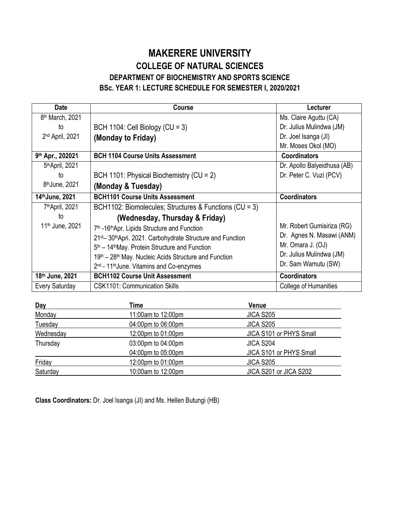## **MAKERERE UNIVERSITY COLLEGE OF NATURAL SCIENCES DEPARTMENT OF BIOCHEMISTRY AND SPORTS SCIENCE BSc. YEAR 1: LECTURE SCHEDULE FOR SEMESTER I, 2020/2021**

| <b>Date</b>                       | <b>Course</b>                                                                                                                                                                                                                                                                                                                                                                                      | Lecturer                                                                                                                        |
|-----------------------------------|----------------------------------------------------------------------------------------------------------------------------------------------------------------------------------------------------------------------------------------------------------------------------------------------------------------------------------------------------------------------------------------------------|---------------------------------------------------------------------------------------------------------------------------------|
| 8 <sup>th</sup> March, 2021       |                                                                                                                                                                                                                                                                                                                                                                                                    | Ms. Claire Aguttu (CA)                                                                                                          |
| to                                | BCH 1104: Cell Biology (CU = $3$ )                                                                                                                                                                                                                                                                                                                                                                 | Dr. Julius Mulindwa (JM)                                                                                                        |
| 2 <sup>nd</sup> April, 2021       | (Monday to Friday)                                                                                                                                                                                                                                                                                                                                                                                 | Dr. Joel Isanga (JI)                                                                                                            |
|                                   |                                                                                                                                                                                                                                                                                                                                                                                                    | Mr. Moses Okol (MO)                                                                                                             |
| 9th Apr., 202021                  | <b>BCH 1104 Course Units Assessment</b>                                                                                                                                                                                                                                                                                                                                                            | <b>Coordinators</b>                                                                                                             |
| 5th April, 2021                   |                                                                                                                                                                                                                                                                                                                                                                                                    | Dr. Apollo Balyeidhusa (AB)                                                                                                     |
| to                                | BCH 1101: Physical Biochemistry (CU = 2)                                                                                                                                                                                                                                                                                                                                                           | Dr. Peter C. Vuzi (PCV)                                                                                                         |
| 8 <sup>th</sup> June, 2021        | (Monday & Tuesday)                                                                                                                                                                                                                                                                                                                                                                                 |                                                                                                                                 |
| 14th June, 2021                   | <b>BCH1101 Course Units Assessment</b>                                                                                                                                                                                                                                                                                                                                                             | <b>Coordinators</b>                                                                                                             |
| 7 <sup>th</sup> April, 2021       | BCH1102: Biomolecules; Structures & Functions (CU = 3)                                                                                                                                                                                                                                                                                                                                             |                                                                                                                                 |
| to<br>11 <sup>th</sup> June, 2021 | (Wednesday, Thursday & Friday)<br>7 <sup>th</sup> -16 <sup>th</sup> Apr. Lipids Structure and Function<br>21 <sup>st</sup> 30 <sup>th</sup> Apri. 2021. Carbohydrate Structure and Function<br>5 <sup>th</sup> – 14 <sup>th</sup> May. Protein Structure and Function<br>19th – 28th May. Nucleic Acids Structure and Function<br>2 <sup>nd</sup> - 11 <sup>th</sup> June. Vitamins and Co-enzymes | Mr. Robert Gumisiriza (RG)<br>Dr. Agnes N. Masawi (ANM)<br>Mr. Omara J. (OJ)<br>Dr. Julius Mulindwa (JM)<br>Dr. Sam Wamutu (SW) |
| 18th June, 2021                   | <b>BCH1102 Course Unit Assessment</b>                                                                                                                                                                                                                                                                                                                                                              | <b>Coordinators</b>                                                                                                             |
| Every Saturday                    | <b>CSK1101: Communication Skills</b>                                                                                                                                                                                                                                                                                                                                                               | <b>College of Humanities</b>                                                                                                    |

| Day       | Time               | Venue                   |  |
|-----------|--------------------|-------------------------|--|
| Monday    | 11:00am to 12:00pm | <b>JICA S205</b>        |  |
| Tuesday   | 04:00pm to 06:00pm | <b>JICA S205</b>        |  |
| Wednesday | 12:00pm to 01:00pm | JICA S101 or PHYS Small |  |
| Thursday  | 03:00pm to 04:00pm | <b>JICA S204</b>        |  |
|           | 04:00pm to 05:00pm | JICA S101 or PHYS Small |  |
| Friday    | 12:00pm to 01:00pm | <b>JICA S205</b>        |  |
| Saturday  | 10:00am to 12:00pm | JICA S201 or JICA S202  |  |

**Class Coordinators:** Dr. Joel Isanga (JI) and Ms. Hellen Butungi (HB)